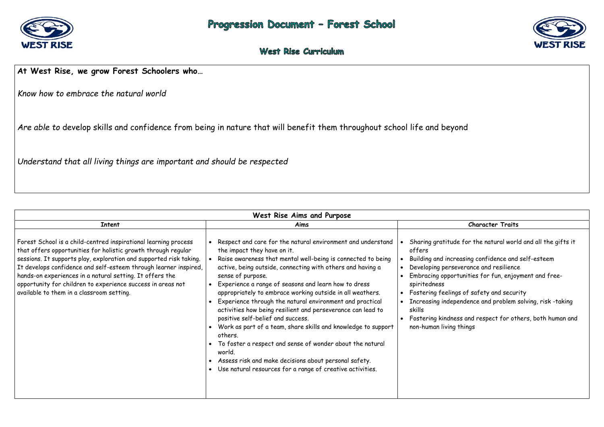

### West Rise Curriculum

#### **At West Rise, we grow Forest Schoolers who…**

*Know how to embrace the natural world* 

*Are able to* develop skills and confidence from being in nature that will benefit them throughout school life and beyond

*Understand that all living things are important and should be respected* 

 Fostering kindness and respect for others, both human and things

| West Rise Aims and Purpose                                                                                                                                                                                                                                                                                                                                                                                                                         |                                                                                                                                                                                                                                                                                                                                                                                                                                                                                                                                                                                                                                                                                                                                                                                                             |                                                                                                                                                                                                         |
|----------------------------------------------------------------------------------------------------------------------------------------------------------------------------------------------------------------------------------------------------------------------------------------------------------------------------------------------------------------------------------------------------------------------------------------------------|-------------------------------------------------------------------------------------------------------------------------------------------------------------------------------------------------------------------------------------------------------------------------------------------------------------------------------------------------------------------------------------------------------------------------------------------------------------------------------------------------------------------------------------------------------------------------------------------------------------------------------------------------------------------------------------------------------------------------------------------------------------------------------------------------------------|---------------------------------------------------------------------------------------------------------------------------------------------------------------------------------------------------------|
| <b>Intent</b>                                                                                                                                                                                                                                                                                                                                                                                                                                      | Aims                                                                                                                                                                                                                                                                                                                                                                                                                                                                                                                                                                                                                                                                                                                                                                                                        |                                                                                                                                                                                                         |
| Forest School is a child-centred inspirational learning process<br>that offers opportunities for holistic growth through regular<br>sessions. It supports play, exploration and supported risk taking.<br>It develops confidence and self-esteem through learner inspired,<br>hands-on experiences in a natural setting. It offers the<br>opportunity for children to experience success in areas not<br>available to them in a classroom setting. | Respect and care for the natural environment and understand<br>the impact they have on it.<br>Raise awareness that mental well-being is connected to being<br>active, being outside, connecting with others and having a<br>sense of purpose.<br>Experience a range of seasons and learn how to dress<br>appropriately to embrace working outside in all weathers.<br>Experience through the natural environment and practical<br>activities how being resilient and perseverance can lead to<br>positive self-belief and success.<br>Work as part of a team, share skills and knowledge to support<br>others.<br>To foster a respect and sense of wonder about the natural<br>world.<br>Assess risk and make decisions about personal safety.<br>Use natural resources for a range of creative activities. | Sharing gratitude<br>offers<br>Building and incre<br>Developing persev<br>Embracing opport<br>spiritedness<br>Fostering feeling<br>Increasing indepe<br>skills<br>Fostering kindnes<br>non-human living |



#### **Character Traits**

le for the natural world and all the gifts it

easing confidence and self-esteem verance and resilience

tunities for fun, enjoyment and free-

gs of safety and security endence and problem solving, risk -taking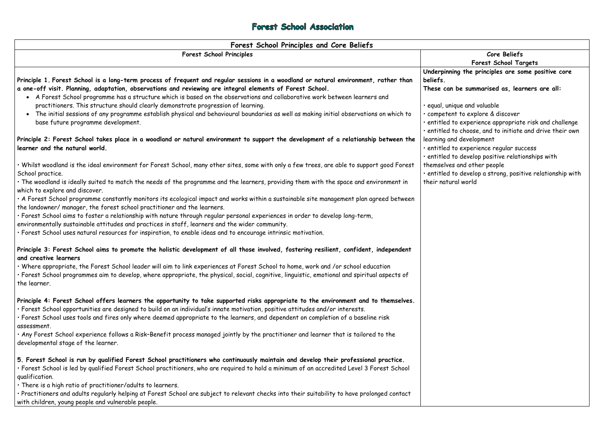#### Forest School Association

| <b>Core Beliefs</b>                |
|------------------------------------|
| Forest School Ta                   |
| Underpinning the principles are so |
|                                    |

# **Forest School Targets**

**Principle 1. Forest School is a long-term process of frequent and regular sessions in a woodland or natural environment, rather than a one-off visit. Planning, adaptation, observations and reviewing are integral elements of Forest School.** A Forest School programme has a structure which is based on the observations and collaborative work between learners and practitioners. This structure should clearly demonstrate progression of learning. The initial sessions of any programme establish physical and behavioural boundaries as well as making initial observations on which to base future programme development. **Principle 2: Forest School takes place in a woodland or natural environment to support the development of a relationship between the learner and the natural world.**  • Whilst woodland is the ideal environment for Forest School, many other sites, some with only a few trees, are able to support good Forest School practice. • The woodland is ideally suited to match the needs of the programme and the learners, providing them with the space and environment in which to explore and discover. • A Forest School programme constantly monitors its ecological impact and works within a sustainable site management plan agreed between the landowner/ manager, the forest school practitioner and the learners. • Forest School aims to foster a relationship with nature through regular personal experiences in order to develop long-term, environmentally sustainable attitudes and practices in staff, learners and the wider community. • Forest School uses natural resources for inspiration, to enable ideas and to encourage intrinsic motivation. **Principle 3: Forest School aims to promote the holistic development of all those involved, fostering resilient, confident, independent and creative learners** • Where appropriate, the Forest School leader will aim to link experiences at Forest School to home, work and /or school education • Forest School programmes aim to develop, where appropriate, the physical, social, cognitive, linguistic, emotional and spiritual aspects of the learner. **Principle 4: Forest School offers learners the opportunity to take supported risks appropriate to the environment and to themselves.** • Forest School opportunities are designed to build on an individual's innate motivation, positive attitudes and/or interests. • Forest School uses tools and fires only where deemed appropriate to the learners, and dependent on completion of a baseline risk assessment. • Any Forest School experience follows a Risk–Benefit process managed jointly by the practitioner and learner that is tailored to the developmental stage of the learner. **5. Forest School is run by qualified Forest School practitioners who continuously maintain and develop their professional practice. Underpinning the principles are some positive core beliefs. These can be summarised as, learners are all:**  • equal, unique and valuable • competent to explore & discover • entitled to experience appropriate risk and challenge • entitled to choose, and to initiate and drive their own learning and development • entitled to experience regular success • entitled to develop positive relationships with themselves and other people • entitled to develop a strong, positive relationship with their natural world

• Forest School is led by qualified Forest School practitioners, who are required to hold a minimum of an accredited Level 3 Forest School qualification.

• There is a high ratio of practitioner/adults to learners.

• Practitioners and adults regularly helping at Forest School are subject to relevant checks into their suitability to have prolonged contact with children, young people and vulnerable people.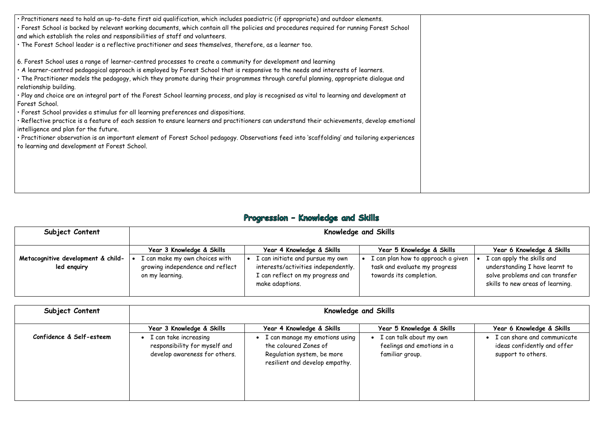• Practitioners need to hold an up-to-date first aid qualification, which includes paediatric (if appropriate) and outdoor elements. • Forest School is backed by relevant working documents, which contain all the policies and procedures required for running Forest School and which establish the roles and responsibilities of staff and volunteers.

• The Forest School leader is a reflective practitioner and sees themselves, therefore, as a learner too.

6. Forest School uses a range of learner-centred processes to create a community for development and learning

• A learner-centred pedagogical approach is employed by Forest School that is responsive to the needs and interests of learners.

• The Practitioner models the pedagogy, which they promote during their programmes through careful planning, appropriate dialogue and relationship building.

• Play and choice are an integral part of the Forest School learning process, and play is recognised as vital to learning and development at Forest School.

• Forest School provides a stimulus for all learning preferences and dispositions.

• Reflective practice is a feature of each session to ensure learners and practitioners can understand their achievements, develop emotional intelligence and plan for the future.

• Practitioner observation is an important element of Forest School pedagogy. Observations feed into 'scaffolding' and tailoring experiences to learning and development at Forest School.

### Progression - Knowledge and Skills

| Subject Content                                   | Knowledge and Skills                                                                  |                                                                                                                                |                                                                                                |                                                                                                                                     |  |
|---------------------------------------------------|---------------------------------------------------------------------------------------|--------------------------------------------------------------------------------------------------------------------------------|------------------------------------------------------------------------------------------------|-------------------------------------------------------------------------------------------------------------------------------------|--|
|                                                   | Year 3 Knowledge & Skills                                                             | Year 4 Knowledge & Skills                                                                                                      | Year 5 Knowledge & Skills                                                                      | Year 6 Knowledge & Skills                                                                                                           |  |
| Metacognitive development & child-<br>led enguiry | I can make my own choices with<br>growing independence and reflect<br>on my learning. | I can initiate and pursue my own<br>interests/activities independently.<br>I can reflect on my progress and<br>make adaptions. | I can plan how to approach a given<br>task and evaluate my progress<br>towards its completion. | I can apply the skills and<br>understanding I have learnt to<br>solve problems and can transfer<br>skills to new areas of learning. |  |

| Subject Content          | Knowledge and Skills                                                                                                 |                                                                                                                                                      |                                                                                                       |                                                                                                               |  |
|--------------------------|----------------------------------------------------------------------------------------------------------------------|------------------------------------------------------------------------------------------------------------------------------------------------------|-------------------------------------------------------------------------------------------------------|---------------------------------------------------------------------------------------------------------------|--|
| Confidence & Self-esteem | Year 3 Knowledge & Skills<br>I can take increasing<br>responsibility for myself and<br>develop awareness for others. | Year 4 Knowledge & Skills<br>I can manage my emotions using<br>the coloured Zones of<br>Regulation system, be more<br>resilient and develop empathy. | Year 5 Knowledge & Skills<br>I can talk about my own<br>feelings and emotions in a<br>familiar group. | Year 6 Knowledge & Skills<br>I can share and communicate<br>ideas confidently and offer<br>support to others. |  |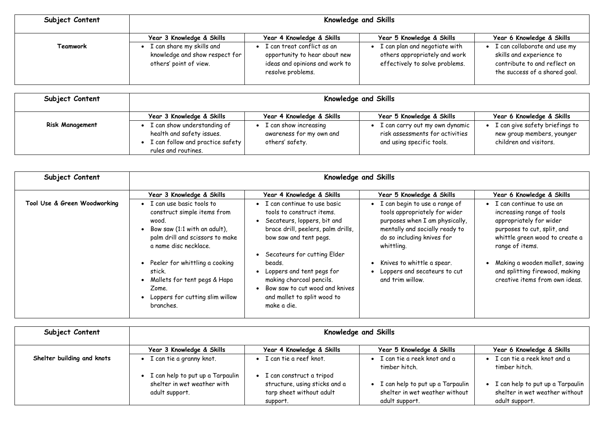| Subject Content | <b>Knowledge and Skills</b>                                                                                          |                                                                                                                                                 |                                                                                                                               |                                                                                                                                                        |
|-----------------|----------------------------------------------------------------------------------------------------------------------|-------------------------------------------------------------------------------------------------------------------------------------------------|-------------------------------------------------------------------------------------------------------------------------------|--------------------------------------------------------------------------------------------------------------------------------------------------------|
| Teamwork        | Year 3 Knowledge & Skills<br>I can share my skills and<br>knowledge and show respect for  <br>others' point of view. | Year 4 Knowledge & Skills<br>I can treat conflict as an<br>opportunity to hear about new<br>ideas and opinions and work to<br>resolve problems. | Year 5 Knowledge & Skills<br>I can plan and negotiate with<br>others appropriately and work<br>effectively to solve problems. | Year 6 Knowledge & Skills<br>I can collaborate and use my<br>skills and experience to<br>contribute to and reflect on<br>the success of a shared goal. |
|                 |                                                                                                                      |                                                                                                                                                 |                                                                                                                               |                                                                                                                                                        |

| Subject Content        | <b>Knowledge and Skills</b>                                                                                                       |                                                                      |                                                                                                |                                                                                        |  |
|------------------------|-----------------------------------------------------------------------------------------------------------------------------------|----------------------------------------------------------------------|------------------------------------------------------------------------------------------------|----------------------------------------------------------------------------------------|--|
|                        | Year 3 Knowledge & Skills                                                                                                         | Year 4 Knowledge & Skills                                            | Year 5 Knowledge & Skills                                                                      | Year 6 Knowledge & Skills                                                              |  |
| <b>Risk Management</b> | I can show understanding of<br>health and safety issues.<br>$\mid$ I can follow and practice safety $\mid$<br>rules and routines. | I can show increasing<br>awareness for my own and<br>others' safety. | I can carry out my own dynamic<br>risk assessments for activities<br>and using specific tools. | I can give safety briefings to<br>new group members, younger<br>children and visitors. |  |

| Subject Content              | <b>Knowledge and Skills</b>                                                                                                                                    |                                                                                                                                                                                          |                                                                                                                                                                                  |                                                                                                                                                                      |
|------------------------------|----------------------------------------------------------------------------------------------------------------------------------------------------------------|------------------------------------------------------------------------------------------------------------------------------------------------------------------------------------------|----------------------------------------------------------------------------------------------------------------------------------------------------------------------------------|----------------------------------------------------------------------------------------------------------------------------------------------------------------------|
|                              | Year 3 Knowledge & Skills                                                                                                                                      | Year 4 Knowledge & Skills                                                                                                                                                                | Year 5 Knowledge & Skills                                                                                                                                                        | Year 6 Knowledge & Skills                                                                                                                                            |
| Tool Use & Green Woodworking | • I can use basic tools to<br>construct simple items from<br>wood.<br>Bow saw (1:1 with an adult),<br>palm drill and scissors to make<br>a name disc necklace. | • I can continue to use basic<br>tools to construct items.<br>Secateurs, loppers, bit and<br>brace drill, peelers, palm drills,<br>bow saw and tent pegs.<br>Secateurs for cutting Elder | • I can begin to use a range of<br>tools appropriately for wider<br>purposes when I am physically,<br>mentally and socially ready to<br>do so including knives for<br>whittling. | I can continue to use an<br>increasing range of tools<br>appropriately for wider<br>purposes to cut, split, and<br>whittle green wood to create a<br>range of items. |
|                              | • Peeler for whittling a cooking<br>stick.<br>Mallets for tent pegs & Hapa<br>Zome.<br>Loppers for cutting slim willow<br>branches.                            | beads.<br>Loppers and tent pegs for<br>making charcoal pencils.<br>Bow saw to cut wood and knives<br>and mallet to split wood to<br>make a die.                                          | Knives to whittle a spear.<br>Loppers and secateurs to cut<br>and trim willow.                                                                                                   | Making a wooden mallet, sawing<br>and splitting firewood, making<br>creative items from own ideas.                                                                   |

| Subject Content            | Knowledge and Skills                                                                        |                                                                                                   |                                                                                      |                                                                                      |
|----------------------------|---------------------------------------------------------------------------------------------|---------------------------------------------------------------------------------------------------|--------------------------------------------------------------------------------------|--------------------------------------------------------------------------------------|
|                            | Year 3 Knowledge & Skills                                                                   | Year 4 Knowledge & Skills                                                                         | Year 5 Knowledge & Skills                                                            | Year 6 Knowledge & Skills                                                            |
| Shelter building and knots | • I can tie a granny knot.                                                                  | I can tie a reef knot.                                                                            | • I can tie a reek knot and a<br>timber hitch.                                       | I can tie a reek knot and a<br>timber hitch.                                         |
|                            | $\bullet$ I can help to put up a Tarpaulin<br>shelter in wet weather with<br>adult support. | I can construct a tripod<br>structure, using sticks and a<br>tarp sheet without adult<br>support. | I can help to put up a Tarpaulin<br>shelter in wet weather without<br>adult support. | I can help to put up a Tarpaulin<br>shelter in wet weather without<br>adult support. |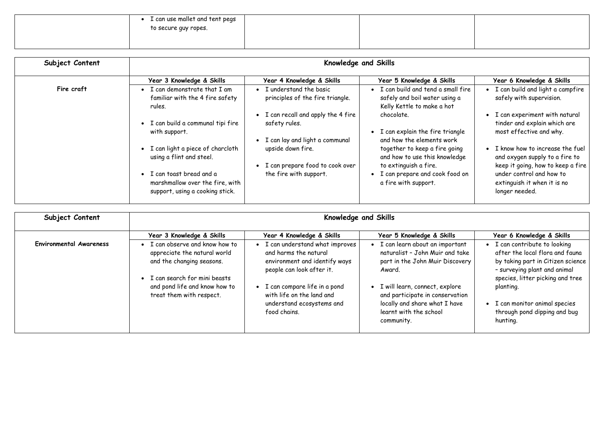| $\sim$ I can use mallet and tent pegs<br>to secure guy ropes. |  |
|---------------------------------------------------------------|--|
|                                                               |  |

| Subject Content | Knowledge and Skills                                                                            |                                                                                            |                                                                                                                      |                                                                                                          |
|-----------------|-------------------------------------------------------------------------------------------------|--------------------------------------------------------------------------------------------|----------------------------------------------------------------------------------------------------------------------|----------------------------------------------------------------------------------------------------------|
|                 | Year 3 Knowledge & Skills                                                                       | Year 4 Knowledge & Skills                                                                  | Year 5 Knowledge & Skills                                                                                            | Year 6 Knowledge & Skills                                                                                |
| Fire craft      | $\bullet$ I can demonstrate that I am<br>familiar with the 4 fire safety<br>rules.              | I understand the basic<br>principles of the fire triangle.                                 | • I can build and tend a small fire<br>safely and boil water using a<br>Kelly Kettle to make a hot                   | I can build and light a campfire<br>safely with supervision.                                             |
|                 | · I can build a communal tipi fire<br>with support.                                             | • I can recall and apply the 4 fire<br>safety rules.                                       | chocolate.<br>• I can explain the fire triangle                                                                      | • I can experiment with natural<br>tinder and explain which are<br>most effective and why.               |
|                 | • I can light a piece of charcloth<br>using a flint and steel.                                  | • I can lay and light a communal<br>upside down fire.<br>• I can prepare food to cook over | and how the elements work<br>together to keep a fire going<br>and how to use this knowledge<br>to extinguish a fire. | • I know how to increase the fuel<br>and oxygen supply to a fire to<br>keep it going, how to keep a fire |
|                 | • I can toast bread and a<br>marshmallow over the fire, with<br>support, using a cooking stick. | the fire with support.                                                                     | • I can prepare and cook food on<br>a fire with support.                                                             | under control and how to<br>extinguish it when it is no<br>longer needed.                                |

| Subject Content                | <b>Knowledge and Skills</b>                                                                                                                                                                 |                                                                                                                                                                                                                                 |                                                                                                                                                                                                                                                                |                                                                                                                                                                                                                                                                  |
|--------------------------------|---------------------------------------------------------------------------------------------------------------------------------------------------------------------------------------------|---------------------------------------------------------------------------------------------------------------------------------------------------------------------------------------------------------------------------------|----------------------------------------------------------------------------------------------------------------------------------------------------------------------------------------------------------------------------------------------------------------|------------------------------------------------------------------------------------------------------------------------------------------------------------------------------------------------------------------------------------------------------------------|
|                                | Year 3 Knowledge & Skills                                                                                                                                                                   | Year 4 Knowledge & Skills                                                                                                                                                                                                       | Year 5 Knowledge & Skills                                                                                                                                                                                                                                      | Year 6 Knowledge & Skills                                                                                                                                                                                                                                        |
| <b>Environmental Awareness</b> | • I can observe and know how to<br>appreciate the natural world<br>and the changing seasons.<br>• I can search for mini beasts<br>and pond life and know how to<br>treat them with respect. | I can understand what improves<br>and harms the natural<br>environment and identify ways<br>people can look after it.<br>I can compare life in a pond<br>with life on the land and<br>understand ecosystems and<br>food chains. | I can learn about an important<br>naturalist - John Muir and take<br>part in the John Muir Discovery<br>Award.<br>• I will learn, connect, explore<br>and participate in conservation<br>locally and share what I have<br>learnt with the school<br>community. | I can contribute to looking<br>after the local flora and fauna<br>by taking part in Citizen science<br>- surveying plant and animal<br>species, litter picking and tree<br>planting.<br>I can monitor animal species<br>through pond dipping and bug<br>hunting. |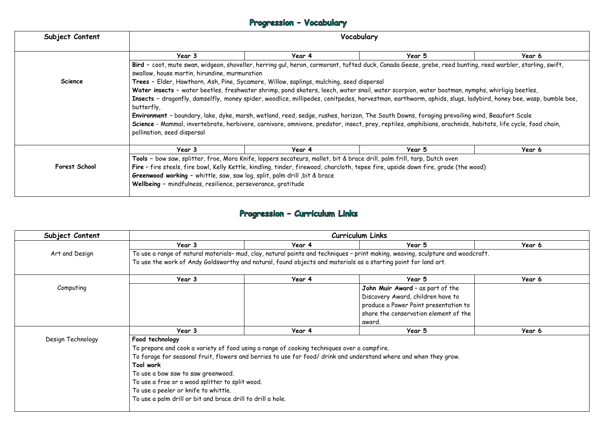### Progression - Vocabulary

| Subject Content | Vocabulary                                                                                                                                                   |        |        |        |  |  |
|-----------------|--------------------------------------------------------------------------------------------------------------------------------------------------------------|--------|--------|--------|--|--|
|                 | Year 3                                                                                                                                                       | Year 4 | Year 5 | Year 6 |  |  |
|                 | Bird - coot, mute swan, widgeon, shoveller, herring gul, heron, cormorant, tufted duck, Canada Geese, grebe, reed bunting, reed warbler, starling, swift,    |        |        |        |  |  |
|                 | swallow, house martin, hirundine, murmuration                                                                                                                |        |        |        |  |  |
| <b>Science</b>  | Trees - Elder, Hawthorn, Ash, Pine, Sycamore, Willow, saplings, mulching, seed dispersal                                                                     |        |        |        |  |  |
|                 | Water insects - water beetles, freshwater shrimp, pond skaters, leech, water snail, water scorpion, water boatman, nymphs, whirligig beetles,                |        |        |        |  |  |
|                 | Insects - dragonfly, damselfly, money spider, woodlice, millipedes, cenitpedes, harvestman, earthworm, aphids, slugs, ladybird, honey bee, wasp, bumble bee, |        |        |        |  |  |
|                 | butterfly,                                                                                                                                                   |        |        |        |  |  |
|                 | Environment - boundary, lake, dyke, marsh, wetland, reed, sedge, rushes, horizon, The South Downs, foraging prevailing wind, Beaufort Scale                  |        |        |        |  |  |
|                 | Science - Mammal, invertebrate, herbivore, carnivore, omnivore, predator, insect, prey, reptiles, amphibians, arachnids, habitats, life cycle, food chain,   |        |        |        |  |  |
|                 | pollination, seed dispersal                                                                                                                                  |        |        |        |  |  |
|                 |                                                                                                                                                              |        |        |        |  |  |
|                 | Year 3                                                                                                                                                       | Year 4 | Year 5 | Year 6 |  |  |
|                 | Tools - bow saw, splitter, froe, Mora Knife, loppers secateurs, mallet, bit & brace drill, palm frill, tarp, Dutch oven                                      |        |        |        |  |  |
| Forest School   | Fire - fire steels, fire bowl, Kelly Kettle, kindling, tinder, firewood, charcloth, tepee fire, upside down fire, grade (the wood)                           |        |        |        |  |  |
|                 | Greenwood working - whittle, saw, saw log, split, palm drill, bit & brace                                                                                    |        |        |        |  |  |
|                 | Wellbeing - mindfulness, resilience, perseverance, gratitude                                                                                                 |        |        |        |  |  |
|                 |                                                                                                                                                              |        |        |        |  |  |

### Progression - Curriculum Links

| Subject Content   | <b>Curriculum Links</b>                                                                                          |        |                                                                                                                                 |        |  |  |  |  |
|-------------------|------------------------------------------------------------------------------------------------------------------|--------|---------------------------------------------------------------------------------------------------------------------------------|--------|--|--|--|--|
|                   | Year 3                                                                                                           | Year 4 | Year 5                                                                                                                          | Year 6 |  |  |  |  |
| Art and Design    | To use the work of Andy Goldsworthy and natural, found objects and materials as a starting point for land art.   |        | To use a range of natural materials- mud, clay, natural paints and techniques - print making, weaving, sculpture and woodcraft. |        |  |  |  |  |
|                   | Year 3                                                                                                           | Year 4 | Year 5                                                                                                                          | Year 6 |  |  |  |  |
| Computing         |                                                                                                                  |        | John Muir Award - as part of the                                                                                                |        |  |  |  |  |
|                   |                                                                                                                  |        | Discovery Award, children have to                                                                                               |        |  |  |  |  |
|                   |                                                                                                                  |        | produce a Power Point presentation to                                                                                           |        |  |  |  |  |
|                   |                                                                                                                  |        | share the conservation element of the                                                                                           |        |  |  |  |  |
|                   |                                                                                                                  |        | award.                                                                                                                          |        |  |  |  |  |
|                   | Year 3                                                                                                           | Year 4 | Year 5                                                                                                                          | Year 6 |  |  |  |  |
| Design Technology | Food technology                                                                                                  |        |                                                                                                                                 |        |  |  |  |  |
|                   | To prepare and cook a variety of food using a range of cooking techniques over a campfire.                       |        |                                                                                                                                 |        |  |  |  |  |
|                   | To forage for seasonal fruit, flowers and berries to use for food/drink and understand where and when they grow. |        |                                                                                                                                 |        |  |  |  |  |
|                   | Tool work                                                                                                        |        |                                                                                                                                 |        |  |  |  |  |
|                   | To use a bow saw to saw greenwood.                                                                               |        |                                                                                                                                 |        |  |  |  |  |
|                   | To use a froe or a wood splitter to split wood.                                                                  |        |                                                                                                                                 |        |  |  |  |  |
|                   | To use a peeler or knife to whittle.                                                                             |        |                                                                                                                                 |        |  |  |  |  |
|                   | To use a palm drill or bit and brace drill to drill a hole.                                                      |        |                                                                                                                                 |        |  |  |  |  |
|                   |                                                                                                                  |        |                                                                                                                                 |        |  |  |  |  |

|            | Year 6                                      |
|------------|---------------------------------------------|
|            | bunting, reed warbler, starling, swift,     |
|            |                                             |
|            | an, nymphs, whirligig beetles,              |
|            | ugs, ladybird, honey bee, wasp, bumble bee, |
|            |                                             |
|            | ailing wind, Beaufort Scale                 |
|            | inids, habitats, life cycle, food chain,    |
|            |                                             |
|            | Year 6                                      |
|            |                                             |
| (the wood) |                                             |
|            |                                             |
|            |                                             |
|            |                                             |
|            |                                             |
|            |                                             |
|            |                                             |
|            | Year 6                                      |
| woodcraft. |                                             |
|            |                                             |
|            | Year 6                                      |
| e          |                                             |
| 0          |                                             |
| on to      |                                             |
| f the      |                                             |
|            | Year 6                                      |
|            |                                             |
|            |                                             |
| V.         |                                             |
|            |                                             |
|            |                                             |
|            |                                             |
|            |                                             |
|            |                                             |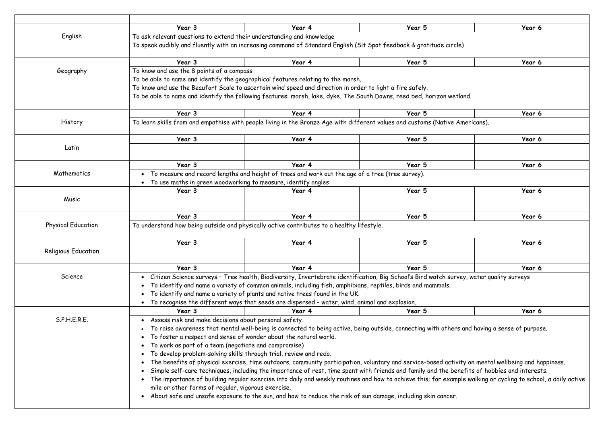|                            | Year 3                                                                                                                                                             | Year 4                                                                                                                                                       | Year 5 | Year 6 |  |  |  |
|----------------------------|--------------------------------------------------------------------------------------------------------------------------------------------------------------------|--------------------------------------------------------------------------------------------------------------------------------------------------------------|--------|--------|--|--|--|
| English                    | To ask relevant questions to extend their understanding and knowledge                                                                                              |                                                                                                                                                              |        |        |  |  |  |
|                            |                                                                                                                                                                    | To speak audibly and fluently with an increasing command of Standard English (Sit Spot feedback & gratitude circle)                                          |        |        |  |  |  |
|                            | Year 3                                                                                                                                                             | Year 4                                                                                                                                                       | Year 5 | Year 6 |  |  |  |
| Geography                  | To know and use the 8 points of a compass                                                                                                                          |                                                                                                                                                              |        |        |  |  |  |
|                            |                                                                                                                                                                    | To be able to name and identify the geographical features relating to the marsh.                                                                             |        |        |  |  |  |
|                            |                                                                                                                                                                    | To know and use the Beaufort Scale to ascertain wind speed and direction in order to light a fire safely.                                                    |        |        |  |  |  |
|                            |                                                                                                                                                                    | To be able to name and identify the following features: marsh, lake, dyke, The South Downs, reed bed, horizon wetland.                                       |        |        |  |  |  |
|                            | Year 3                                                                                                                                                             | Year 4                                                                                                                                                       | Year 5 | Year 6 |  |  |  |
| History                    |                                                                                                                                                                    | To learn skills from and empathise with people living in the Bronze Age with different values and customs (Native Americans).                                |        |        |  |  |  |
|                            | Year 3                                                                                                                                                             | Year 4                                                                                                                                                       | Year 5 | Year 6 |  |  |  |
| Latin                      |                                                                                                                                                                    |                                                                                                                                                              |        |        |  |  |  |
|                            |                                                                                                                                                                    |                                                                                                                                                              |        |        |  |  |  |
|                            | Year 3                                                                                                                                                             | Year 4                                                                                                                                                       | Year 5 | Year 6 |  |  |  |
| Mathematics                | • To measure and record lengths and height of trees and work out the age of a tree (tree survey).<br>To use maths in green woodworking to measure, identify angles |                                                                                                                                                              |        |        |  |  |  |
|                            |                                                                                                                                                                    |                                                                                                                                                              |        |        |  |  |  |
|                            | Year 3                                                                                                                                                             | Year 4                                                                                                                                                       | Year 5 | Year 6 |  |  |  |
| Music                      |                                                                                                                                                                    |                                                                                                                                                              |        |        |  |  |  |
|                            | Year 3                                                                                                                                                             | Year 4                                                                                                                                                       | Year 5 | Year 6 |  |  |  |
| <b>Physical Education</b>  |                                                                                                                                                                    | To understand how being outside and physically active contributes to a healthy lifestyle.                                                                    |        |        |  |  |  |
|                            | Year 3                                                                                                                                                             | Year 4                                                                                                                                                       | Year 5 | Year 6 |  |  |  |
| <b>Religious Education</b> |                                                                                                                                                                    |                                                                                                                                                              |        |        |  |  |  |
|                            | Year 3                                                                                                                                                             | Year 4                                                                                                                                                       | Year 5 | Year 6 |  |  |  |
| Science                    |                                                                                                                                                                    |                                                                                                                                                              |        |        |  |  |  |
|                            |                                                                                                                                                                    | Citizen Science surveys - Tree health, Biodiversity, Invertebrate identification, Big School's Bird watch survey, water quality surveys                      |        |        |  |  |  |
|                            |                                                                                                                                                                    | To identify and name a variety of common animals, including fish, amphibians, reptiles, birds and mammals.                                                   |        |        |  |  |  |
|                            |                                                                                                                                                                    | To identify and name a variety of plants and native trees found in the UK.                                                                                   |        |        |  |  |  |
|                            |                                                                                                                                                                    | To recognise the different ways that seeds are dispersed - water, wind, animal and explosion.                                                                |        |        |  |  |  |
|                            | Year 3                                                                                                                                                             | Year 4                                                                                                                                                       | Year 5 | Year 6 |  |  |  |
| S.P.H.E.R.E.               | • Assess risk and make decisions about personal safety.                                                                                                            |                                                                                                                                                              |        |        |  |  |  |
|                            |                                                                                                                                                                    | To raise awareness that mental well-being is connected to being active, being outside, connecting with others and having a sense of purpose.                 |        |        |  |  |  |
|                            | To foster a respect and sense of wonder about the natural world.                                                                                                   |                                                                                                                                                              |        |        |  |  |  |
|                            | To work as part of a team (negotiate and compromise)                                                                                                               |                                                                                                                                                              |        |        |  |  |  |
|                            | To develop problem-solving skills through trial, review and redo.                                                                                                  |                                                                                                                                                              |        |        |  |  |  |
|                            |                                                                                                                                                                    | The benefits of physical exercise, time outdoors, community participation, voluntary and service-based activity on mental wellbeing and happiness.           |        |        |  |  |  |
|                            |                                                                                                                                                                    | Simple self-care techniques, including the importance of rest, time spent with friends and family and the benefits of hobbies and interests.                 |        |        |  |  |  |
|                            |                                                                                                                                                                    | The importance of building regular exercise into daily and weekly routines and how to achieve this; for example walking or cycling to school, a daily active |        |        |  |  |  |
|                            | mile or other forms of regular, vigorous exercise.                                                                                                                 | About safe and unsafe exposure to the sun, and how to reduce the risk of sun damage, including skin cancer.                                                  |        |        |  |  |  |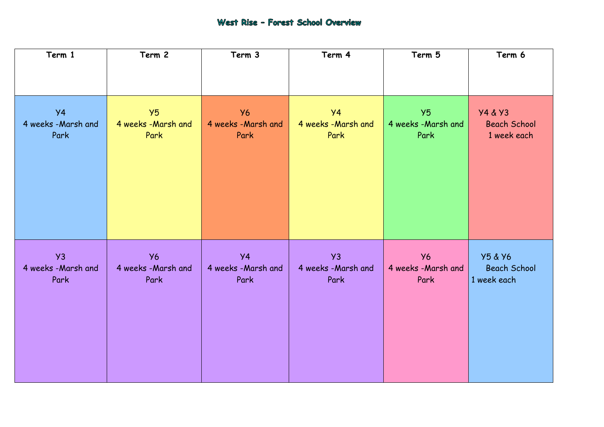### West Rise - Forest School Overview

| Term 1             | Term 2             | Term 3             | Term 4             | Term 5             | Term 6              |
|--------------------|--------------------|--------------------|--------------------|--------------------|---------------------|
|                    |                    |                    |                    |                    |                     |
| <b>y4</b>          | Y5                 | <b>Y6</b>          | <b>Y4</b>          | Y5                 | <b>Y4 &amp; Y3</b>  |
| 4 weeks -Marsh and | 4 weeks -Marsh and | 4 weeks -Marsh and | 4 weeks -Marsh and | 4 weeks -Marsh and | <b>Beach School</b> |
| Park               | Park               | Park               | Park               | Park               | 1 week each         |
| Y3                 | <b>Y6</b>          | $\overline{Y4}$    | yz                 | <b>Y6</b>          | <b>Y5 &amp; Y6</b>  |
| 4 weeks -Marsh and | 4 weeks -Marsh and | 4 weeks -Marsh and | 4 weeks -Marsh and | 4 weeks -Marsh and | <b>Beach School</b> |
| Park               | Park               | Park               | Park               | Park               | 1 week each         |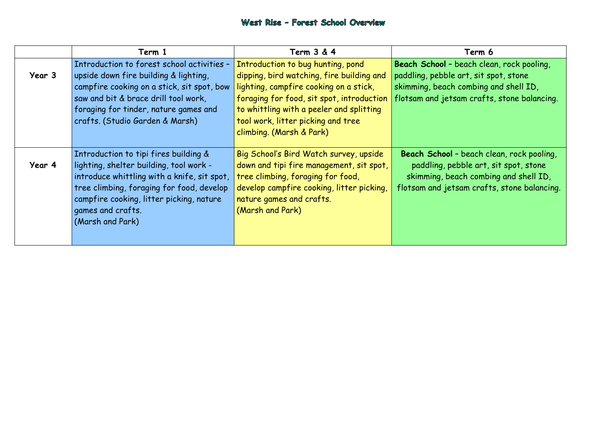**Beach School** – beach clean, rock pooling, art, sit spot, stone combing and shell ID, flom crafts, stone balancing.

beach clean, rock pooling, bble art, sit spot, stone ach combing and shell ID, sam crafts, stone balancing.

|        | Term 1                                                                                                                                                                                                                                                            | <b>Term 3 &amp; 4</b>                                                                                                                                                                                                                                                               | Term 6                                                                                                                  |
|--------|-------------------------------------------------------------------------------------------------------------------------------------------------------------------------------------------------------------------------------------------------------------------|-------------------------------------------------------------------------------------------------------------------------------------------------------------------------------------------------------------------------------------------------------------------------------------|-------------------------------------------------------------------------------------------------------------------------|
| Year 3 | Introduction to forest school activities -<br>upside down fire building & lighting,<br>campfire cooking on a stick, sit spot, bow<br>saw and bit & brace drill tool work,<br>foraging for tinder, nature games and<br>crafts. (Studio Garden & Marsh)             | Introduction to bug hunting, pond<br>dipping, bird watching, fire building and<br>lighting, campfire cooking on a stick,<br>foraging for food, sit spot, introduction<br>to whittling with a peeler and splitting<br>tool work, litter picking and tree<br>climbing. (Marsh & Park) | Beach School - beach clear<br>paddling, pebble art, sit spo<br>skimming, beach combing ar<br>flotsam and jetsam crafts, |
| Year 4 | Introduction to tipi fires building &<br>lighting, shelter building, tool work -<br>introduce whittling with a knife, sit spot,<br>tree climbing, foraging for food, develop<br>campfire cooking, litter picking, nature<br>games and crafts.<br>(Marsh and Park) | Big School's Bird Watch survey, upside<br>down and tipi fire management, sit spot,<br>tree climbing, foraging for food,<br>develop campfire cooking, litter picking,<br>nature games and crafts.<br>(Marsh and Park)                                                                | Beach School - beach cle<br>paddling, pebble art, s<br>skimming, beach combin<br>flotsam and jetsam crafts              |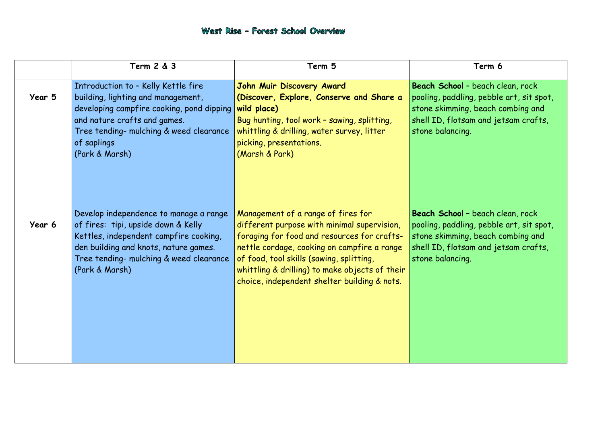**Beach School** – beach clean, rock dling, pebble art, sit spot, ning, beach combing and  $\mathsf{b}$  istam crafts,  $\mathsf{b}$ cing.

### West Rise - Forest School Overview

|        | <b>Term 2 &amp; 3</b>                                                                                                                                                                                                              | Term 5                                                                                                                                                                                                                                                                                                                        | Term 6                                                                                                                             |
|--------|------------------------------------------------------------------------------------------------------------------------------------------------------------------------------------------------------------------------------------|-------------------------------------------------------------------------------------------------------------------------------------------------------------------------------------------------------------------------------------------------------------------------------------------------------------------------------|------------------------------------------------------------------------------------------------------------------------------------|
| Year 5 | Introduction to - Kelly Kettle fire<br>building, lighting and management,<br>developing campfire cooking, pond dipping<br>and nature crafts and games.<br>Tree tending- mulching & weed clearance<br>of saplings<br>(Park & Marsh) | John Muir Discovery Award<br>(Discover, Explore, Conserve and Share a<br>wild place)<br>Bug hunting, tool work - sawing, splitting,<br>whittling & drilling, water survey, litter<br>picking, presentations.<br>(Marsh & Park)                                                                                                | Beach School - beach cle<br>pooling, paddling, pebble<br>stone skimming, beach co<br>shell ID, flotsam and jet<br>stone balancing. |
| Year 6 | Develop independence to manage a range<br>of fires: tipi, upside down & Kelly<br>Kettles, independent campfire cooking,<br>den building and knots, nature games.<br>Tree tending- mulching & weed clearance<br>(Park & Marsh)      | Management of a range of fires for<br>different purpose with minimal supervision,<br>foraging for food and resources for crafts-<br>nettle cordage, cooking on campfire a range<br>of food, tool skills (sawing, splitting,<br>whittling & drilling) to make objects of their<br>choice, independent shelter building & nots. | Beach School - beach cle<br>pooling, paddling, pebble<br>stone skimming, beach co<br>shell ID, flotsam and jet<br>stone balancing. |

**Beach School** – beach clean, rock dling, pebble art, sit spot, ning, beach combing and  $\mathsf{b}$  itsam and jetsam crafts, cing.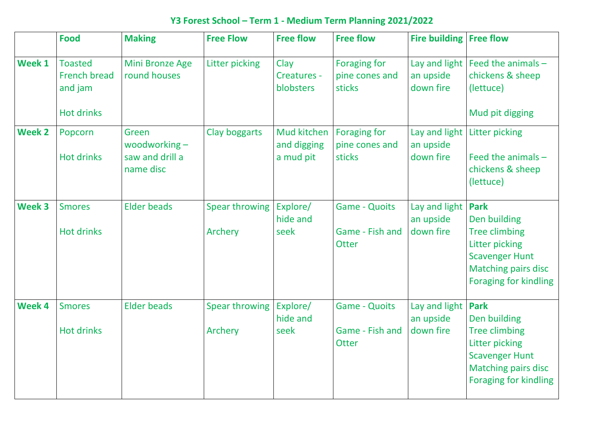## **Y3 Forest School – Term 1 - Medium Term Planning 2021/2022**

|               | <b>Food</b>                                                           | <b>Making</b>                                            | <b>Free Flow</b>                 | <b>Free flow</b>                        | <b>Free flow</b>                                        | Fire building   Free flow               |                                                                                                                       |
|---------------|-----------------------------------------------------------------------|----------------------------------------------------------|----------------------------------|-----------------------------------------|---------------------------------------------------------|-----------------------------------------|-----------------------------------------------------------------------------------------------------------------------|
| Week 1        | <b>Toasted</b><br><b>French bread</b><br>and jam<br><b>Hot drinks</b> | <b>Mini Bronze Age</b><br>round houses                   | Litter picking                   | Clay<br>Creatures -<br>blobsters        | <b>Foraging for</b><br>pine cones and<br>sticks         | Lay and light<br>an upside<br>down fire | Feed the<br>chickens<br>(lettuce)<br>Mud pit d                                                                        |
| <b>Week 2</b> | Popcorn<br><b>Hot drinks</b>                                          | Green<br>woodworking $-$<br>saw and drill a<br>name disc | Clay boggarts                    | Mud kitchen<br>and digging<br>a mud pit | <b>Foraging for</b><br>pine cones and<br>sticks         | Lay and light<br>an upside<br>down fire | Litter pick<br>Feed the<br>chickens<br>(lettuce)                                                                      |
| <b>Week 3</b> | <b>Smores</b><br><b>Hot drinks</b>                                    | <b>Elder beads</b>                                       | <b>Spear throwing</b><br>Archery | Explore/<br>hide and<br>seek            | <b>Game - Quoits</b><br>Game - Fish and<br><b>Otter</b> | Lay and light<br>an upside<br>down fire | <b>Park</b><br>Den build<br><b>Tree climl</b><br>Litter pick<br><b>Scavenge</b><br><b>Matching</b><br><b>Foraging</b> |
| <b>Week 4</b> | <b>Smores</b><br><b>Hot drinks</b>                                    | Elder beads                                              | Spear throwing<br>Archery        | Explore/<br>hide and<br>seek            | <b>Game - Quoits</b><br>Game - Fish and<br><b>Otter</b> | Lay and light<br>an upside<br>down fire | <b>Park</b><br>Den build<br><b>Tree climl</b><br>Litter pick<br><b>Scavenge</b><br><b>Matching</b><br>Foraging 1      |

| <b>Fire building</b>       | <b>Free flow</b>             |
|----------------------------|------------------------------|
| Lay and light              | Feed the animals $-$         |
| an upside                  | chickens & sheep             |
| down fire                  | (lettuce)                    |
|                            | Mud pit digging              |
| Lay and light<br>an upside | Litter picking               |
| down fire                  | Feed the animals -           |
|                            | chickens & sheep             |
|                            | (lettuce)                    |
| Lay and light              | Park                         |
| an upside                  | Den building                 |
| down fire                  | <b>Tree climbing</b>         |
|                            | <b>Litter picking</b>        |
|                            | <b>Scavenger Hunt</b>        |
|                            | <b>Matching pairs disc</b>   |
|                            | <b>Foraging for kindling</b> |
| Lay and light              | Park                         |
| an upside                  | Den building                 |
| down fire                  | Tree climbing                |
|                            | Litter picking               |
|                            | <b>Scavenger Hunt</b>        |
|                            | <b>Matching pairs disc</b>   |
|                            | <b>Foraging for kindling</b> |
|                            |                              |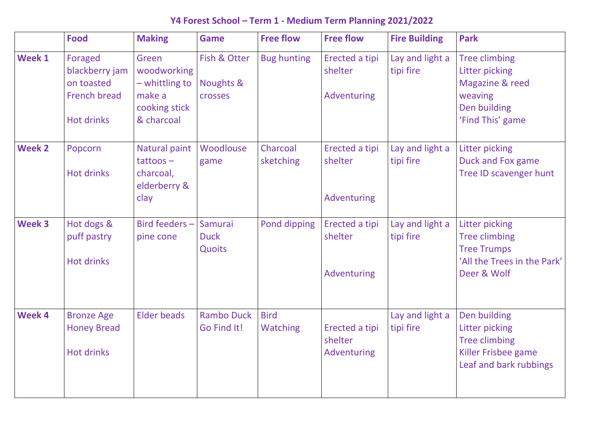### **Y4 Forest School – Term 1 - Medium Term Planning 2021/2022**

Tree climbing Litter picking Magazine & reed weaving Den building 'Find This' game

|               | <b>Food</b>                                                                         | <b>Making</b>                                                                            | <b>Game</b>                                 | <b>Free flow</b>               | <b>Free flow</b>                                | <b>Fire Building</b>         | Park                                                           |
|---------------|-------------------------------------------------------------------------------------|------------------------------------------------------------------------------------------|---------------------------------------------|--------------------------------|-------------------------------------------------|------------------------------|----------------------------------------------------------------|
| <b>Week 1</b> | Foraged<br>blackberry jam<br>on toasted<br><b>French bread</b><br><b>Hot drinks</b> | Green<br><b>woodworking</b><br>$-$ whittling to<br>make a<br>cooking stick<br>& charcoal | Fish & Otter<br>Noughts &<br><b>crosses</b> | <b>Bug hunting</b>             | Erected a tipi<br>shelter<br>Adventuring        | Lay and light a<br>tipi fire | <b>Tree</b><br>Litte<br>Mag<br>wea <sup></sup><br>Den<br>'Finc |
| <b>Week 2</b> | Popcorn<br><b>Hot drinks</b>                                                        | Natural paint<br>$tattoos -$<br>charcoal,<br>elderberry &<br>clay                        | Woodlouse<br>game                           | Charcoal<br>sketching          | Erected a tipi<br>shelter<br>Adventuring        | Lay and light a<br>tipi fire | Litte<br><b>Duck</b><br><b>Tree</b>                            |
| <b>Week 3</b> | Hot dogs &<br>puff pastry<br><b>Hot drinks</b>                                      | Bird feeders $-$<br>pine cone                                                            | Samurai<br><b>Duck</b><br>Quoits            | Pond dipping                   | Erected a tipi<br>shelter<br><b>Adventuring</b> | Lay and light a<br>tipi fire | Litte<br><b>Tree</b><br><b>Tree</b><br>'All t<br><b>Deer</b>   |
| <b>Week 4</b> | <b>Bronze Age</b><br><b>Honey Bread</b><br><b>Hot drinks</b>                        | Elder beads                                                                              | <b>Rambo Duck</b><br>Go Find It!            | <b>Bird</b><br><b>Watching</b> | Erected a tipi<br>shelter<br>Adventuring        | Lay and light a<br>tipi fire | Den<br>Litte<br><b>Tree</b><br>Killer<br>Leaf                  |

Litter picking Duck and Fox game Tree ID scavenger hunt

Litter picking Tree climbing Tree Trumps 'All the Trees in the Park' Deer & Wolf

Den building Litter picking Tree climbing Killer Frisbee game Leaf and bark rubbings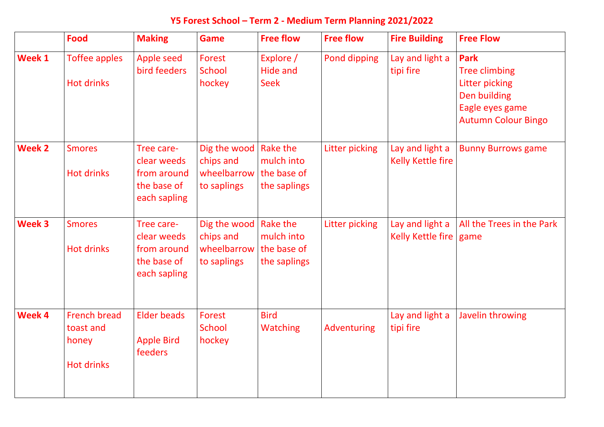### **Y5 Forest School – Term 2 - Medium Term Planning 2021/2022**

**Park** Tree climbing Litter picking Den building Eagle eyes game Autumn Colour Bingo

|               | <b>Food</b>                                                    | <b>Making</b>                                                           | <b>Game</b>                                                        | <b>Free flow</b>                                      | <b>Free flow</b> | <b>Fire Building</b>                        | <b>Free Flow</b>                                                                                     |
|---------------|----------------------------------------------------------------|-------------------------------------------------------------------------|--------------------------------------------------------------------|-------------------------------------------------------|------------------|---------------------------------------------|------------------------------------------------------------------------------------------------------|
| <b>Week 1</b> | <b>Toffee apples</b><br><b>Hot drinks</b>                      | Apple seed<br>bird feeders                                              | Forest<br>School<br>hockey                                         | Explore /<br>Hide and<br><b>Seek</b>                  | Pond dipping     | Lay and light a<br>tipi fire                | <b>Park</b><br><b>Tree climk</b><br><b>Litter pick</b><br>Den build<br>Eagle eyes<br><b>Autumn C</b> |
| <b>Week 2</b> | <b>Smores</b><br><b>Hot drinks</b>                             | Tree care-<br>clear weeds<br>from around<br>the base of<br>each sapling | Dig the wood<br>chips and<br>wheelbarrow<br>to saplings            | Rake the<br>mulch into<br>the base of<br>the saplings | Litter picking   | Lay and light a<br><b>Kelly Kettle fire</b> | <b>Bunny Bur</b>                                                                                     |
| <b>Week 3</b> | <b>Smores</b><br><b>Hot drinks</b>                             | Tree care-<br>clear weeds<br>from around<br>the base of<br>each sapling | Dig the wood   Rake the<br>chips and<br>wheelbarrow<br>to saplings | mulch into<br>the base of<br>the saplings             | Litter picking   | Lay and light a<br>Kelly Kettle fire        | All the Tre<br>game                                                                                  |
| <b>Week 4</b> | <b>French bread</b><br>toast and<br>honey<br><b>Hot drinks</b> | Elder beads<br><b>Apple Bird</b><br><b>feeders</b>                      | Forest<br>School<br>hockey                                         | <b>Bird</b><br><b>Watching</b>                        | Adventuring      | Lay and light a<br>tipi fire                | Javelin thi                                                                                          |

Bunny Burrows game

All the Trees in the Park game

Javelin throwing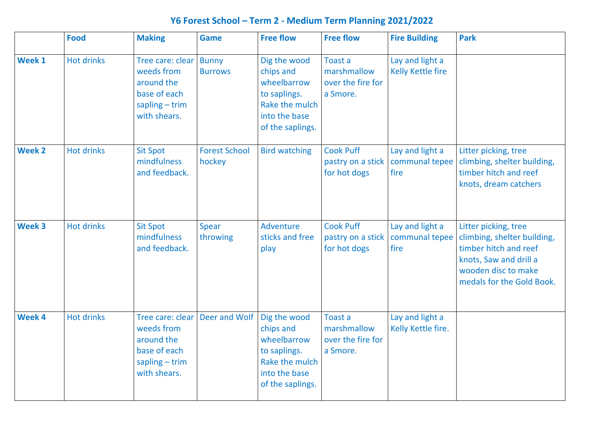### **Y6 Forest School – Term 2 - Medium Term Planning 2021/2022**

Litter picking, tree climbing, shelter building, timber hitch and reef knots, dream catchers

|               | <b>Food</b>       | <b>Making</b>                                                                                  | <b>Game</b>                    | <b>Free flow</b>                                                                                                | <b>Free flow</b>                                               | <b>Fire Building</b>                      | <b>Park</b>                                         |
|---------------|-------------------|------------------------------------------------------------------------------------------------|--------------------------------|-----------------------------------------------------------------------------------------------------------------|----------------------------------------------------------------|-------------------------------------------|-----------------------------------------------------|
| <b>Week 1</b> | <b>Hot drinks</b> | Tree care: clear<br>weeds from<br>around the<br>base of each<br>$sapling-trim$<br>with shears. | <b>Bunny</b><br><b>Burrows</b> | Dig the wood<br>chips and<br>wheelbarrow<br>to saplings.<br>Rake the mulch<br>into the base<br>of the saplings. | <b>Toast a</b><br>marshmallow<br>over the fire for<br>a Smore. | Lay and light a<br>Kelly Kettle fire      |                                                     |
| <b>Week 2</b> | <b>Hot drinks</b> | <b>Sit Spot</b><br>mindfulness<br>and feedback.                                                | <b>Forest School</b><br>hockey | <b>Bird watching</b>                                                                                            | <b>Cook Puff</b><br>pastry on a stick<br>for hot dogs          | Lay and light a<br>communal tepee<br>fire | Litte<br>climl<br>timb<br>knot                      |
| Week 3        | <b>Hot drinks</b> | <b>Sit Spot</b><br>mindfulness<br>and feedback.                                                | Spear<br>throwing              | Adventure<br>sticks and free<br>play                                                                            | <b>Cook Puff</b><br>pastry on a stick<br>for hot dogs          | Lay and light a<br>communal tepee<br>fire | Litte<br>climl<br>timb<br>knot<br><b>WOO</b><br>med |
| Week 4        | <b>Hot drinks</b> | Tree care: clear<br>weeds from<br>around the<br>base of each<br>$sapling-trim$<br>with shears. | Deer and Wolf                  | Dig the wood<br>chips and<br>wheelbarrow<br>to saplings.<br>Rake the mulch<br>into the base<br>of the saplings. | <b>Toast a</b><br>marshmallow<br>over the fire for<br>a Smore. | Lay and light a<br>Kelly Kettle fire.     |                                                     |

Litter picking, tree climbing, shelter building, timber hitch and reef knots, Saw and drill a wooden disc to make medals for the Gold Book.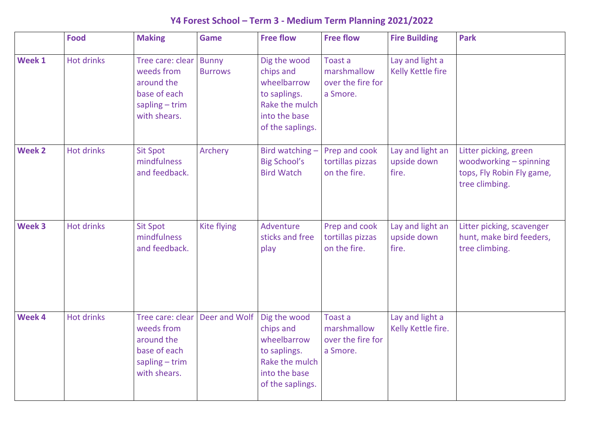### **Y4 Forest School – Term 3 - Medium Term Planning 2021/2022**

Litter picking, green woodworking – spinning tops, Fly Robin Fly game, tree climbing.

|               | <b>Food</b>       | <b>Making</b>                                                                                  | <b>Game</b>                    | <b>Free flow</b>                                                                                                | <b>Free flow</b>                                        | <b>Fire Building</b>                     | <b>Park</b>                         |
|---------------|-------------------|------------------------------------------------------------------------------------------------|--------------------------------|-----------------------------------------------------------------------------------------------------------------|---------------------------------------------------------|------------------------------------------|-------------------------------------|
| <b>Week 1</b> | <b>Hot drinks</b> | Tree care: clear<br>weeds from<br>around the<br>base of each<br>$sapling-trim$<br>with shears. | <b>Bunny</b><br><b>Burrows</b> | Dig the wood<br>chips and<br>wheelbarrow<br>to saplings.<br>Rake the mulch<br>into the base<br>of the saplings. | Toast a<br>marshmallow<br>over the fire for<br>a Smore. | Lay and light a<br>Kelly Kettle fire     |                                     |
| <b>Week 2</b> | <b>Hot drinks</b> | <b>Sit Spot</b><br>mindfulness<br>and feedback.                                                | Archery                        | Bird watching -<br><b>Big School's</b><br><b>Bird Watch</b>                                                     | Prep and cook<br>tortillas pizzas<br>on the fire.       | Lay and light an<br>upside down<br>fire. | Litte<br><b>WOO</b><br>tops<br>tree |
| <b>Week 3</b> | <b>Hot drinks</b> | <b>Sit Spot</b><br>mindfulness<br>and feedback.                                                | Kite flying                    | Adventure<br>sticks and free<br>play                                                                            | Prep and cook<br>tortillas pizzas<br>on the fire.       | Lay and light an<br>upside down<br>fire. | Litte<br>hunt<br>tree               |
| Week 4        | <b>Hot drinks</b> | Tree care: clear<br>weeds from<br>around the<br>base of each<br>$sapling-trim$<br>with shears. | Deer and Wolf                  | Dig the wood<br>chips and<br>wheelbarrow<br>to saplings.<br>Rake the mulch<br>into the base<br>of the saplings. | Toast a<br>marshmallow<br>over the fire for<br>a Smore. | Lay and light a<br>Kelly Kettle fire.    |                                     |

Litter picking, scavenger hunt, make bird feeders, tree climbing.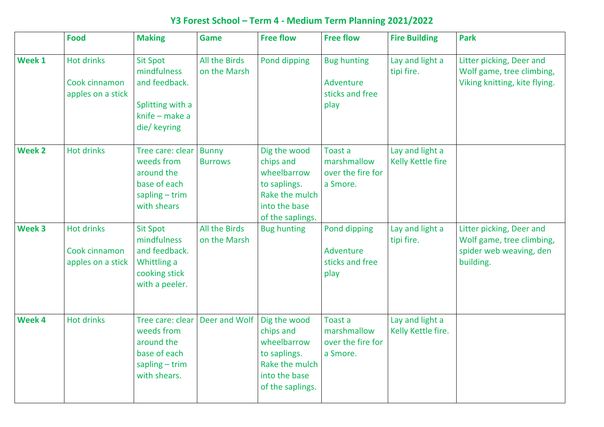### **Y3 Forest School – Term 4 - Medium Term Planning 2021/2022**

Litter picking, Deer and Wolf game, tree climbing, Viking knitting, kite flying.

|               | <b>Food</b>                                             | <b>Making</b>                                                                                         | Game                             | <b>Free flow</b>                                                                                                | <b>Free flow</b>                                           | <b>Fire Building</b>                  | <b>Park</b>                    |
|---------------|---------------------------------------------------------|-------------------------------------------------------------------------------------------------------|----------------------------------|-----------------------------------------------------------------------------------------------------------------|------------------------------------------------------------|---------------------------------------|--------------------------------|
| <b>Week 1</b> | <b>Hot drinks</b><br>Cook cinnamon<br>apples on a stick | <b>Sit Spot</b><br>mindfulness<br>and feedback.<br>Splitting with a<br>knife – make a<br>die/ keyring | All the Birds<br>on the Marsh    | Pond dipping                                                                                                    | <b>Bug hunting</b><br>Adventure<br>sticks and free<br>play | Lay and light a<br>tipi fire.         | Litte<br>Wolf<br><b>Vikir</b>  |
| <b>Week 2</b> | <b>Hot drinks</b>                                       | Tree care: clear<br>weeds from<br>around the<br>base of each<br>$sapling-trim$<br>with shears         | <b>Bunny</b><br><b>Burrows</b>   | Dig the wood<br>chips and<br>wheelbarrow<br>to saplings.<br>Rake the mulch<br>into the base<br>of the saplings. | Toast a<br>marshmallow<br>over the fire for<br>a Smore.    | Lay and light a<br>Kelly Kettle fire  |                                |
| <b>Week 3</b> | <b>Hot drinks</b><br>Cook cinnamon<br>apples on a stick | <b>Sit Spot</b><br>mindfulness<br>and feedback.<br>Whittling a<br>cooking stick<br>with a peeler.     | All the Birds<br>on the Marsh    | <b>Bug hunting</b>                                                                                              | Pond dipping<br>Adventure<br>sticks and free<br>play       | Lay and light a<br>tipi fire.         | Litte<br>Wolf<br>spid<br>build |
| <b>Week 4</b> | <b>Hot drinks</b>                                       | weeds from<br>around the<br>base of each<br>$sapling-trim$<br>with shears.                            | Tree care: clear   Deer and Wolf | Dig the wood<br>chips and<br>wheelbarrow<br>to saplings.<br>Rake the mulch<br>into the base<br>of the saplings. | Toast a<br>marshmallow<br>over the fire for<br>a Smore.    | Lay and light a<br>Kelly Kettle fire. |                                |

Litter picking, Deer and Wolf game, tree climbing, spider web weaving, den building.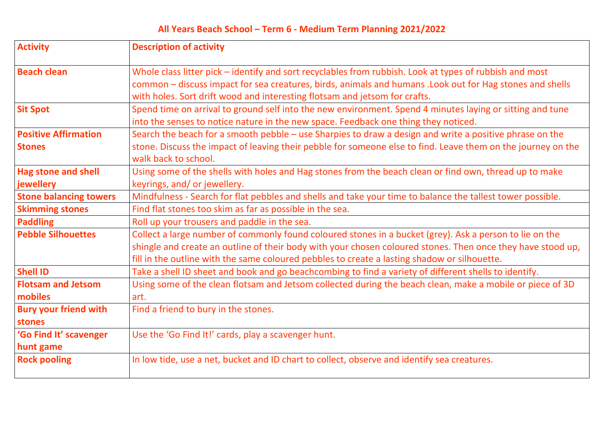| <b>Activity</b>                              | <b>Description of activity</b>                                                                                                                                                                                                                                                  |
|----------------------------------------------|---------------------------------------------------------------------------------------------------------------------------------------------------------------------------------------------------------------------------------------------------------------------------------|
| <b>Beach clean</b>                           | Whole class litter pick - identify and sort recyclables from rubbish. Look at types of rubb<br>common - discuss impact for sea creatures, birds, animals and humans . Look out for Ha<br>with holes. Sort drift wood and interesting flotsam and jetsom for crafts.             |
| <b>Sit Spot</b>                              | Spend time on arrival to ground self into the new environment. Spend 4 minutes laying<br>into the senses to notice nature in the new space. Feedback one thing they noticed.                                                                                                    |
| <b>Positive Affirmation</b><br><b>Stones</b> | Search the beach for a smooth pebble - use Sharpies to draw a design and write a posit<br>stone. Discuss the impact of leaving their pebble for someone else to find. Leave them of<br>walk back to school.                                                                     |
| <b>Hag stone and shell</b><br>jewellery      | Using some of the shells with holes and Hag stones from the beach clean or find own, the<br>keyrings, and/or jewellery.                                                                                                                                                         |
| <b>Stone balancing towers</b>                | Mindfulness - Search for flat pebbles and shells and take your time to balance the talles                                                                                                                                                                                       |
| <b>Skimming stones</b>                       | Find flat stones too skim as far as possible in the sea.                                                                                                                                                                                                                        |
| Paddling                                     | Roll up your trousers and paddle in the sea.                                                                                                                                                                                                                                    |
| <b>Pebble Silhouettes</b>                    | Collect a large number of commonly found coloured stones in a bucket (grey). Ask a per<br>shingle and create an outline of their body with your chosen coloured stones. Then once<br>fill in the outline with the same coloured pebbles to create a lasting shadow or silhouett |
| <b>Shell ID</b>                              | Take a shell ID sheet and book and go beachcombing to find a variety of different shells                                                                                                                                                                                        |
| <b>Flotsam and Jetsom</b><br>mobiles         | Using some of the clean flotsam and Jetsom collected during the beach clean, make a m<br>art.                                                                                                                                                                                   |
| <b>Bury your friend with</b><br>stones       | Find a friend to bury in the stones.                                                                                                                                                                                                                                            |
| <b>'Go Find It' scavenger</b><br>hunt game   | Use the 'Go Find It!' cards, play a scavenger hunt.                                                                                                                                                                                                                             |
| <b>Rock pooling</b>                          | In low tide, use a net, bucket and ID chart to collect, observe and identify sea creatures.                                                                                                                                                                                     |

**Beach cleans is class of rubbish and most** but for Hag stones and shells

**Site Spotz Spend send send tune** self into the seeding into the setting and tune

te a positive phrase on the ve them on the journey on the

Id own, thread up to make

the tallest tower possible.

Ask a person to lie on the Then once they have stood up, is ilhouette. **Shells to identify.** 

make a mobile or piece of 3D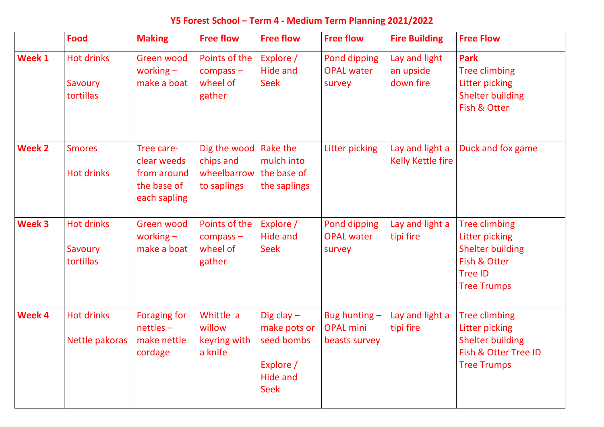### **Y5 Forest School – Term 4 - Medium Term Planning 2021/2022**

**Park** Tree climbing Litter picking Shelter building Fish & Otter

|               | <b>Food</b>                               | <b>Making</b>                                                           | <b>Free flow</b>                                        | <b>Free flow</b>                                                                   | <b>Free flow</b>                                     | <b>Fire Building</b>                        | <b>Free Flow</b>                                                                                   |
|---------------|-------------------------------------------|-------------------------------------------------------------------------|---------------------------------------------------------|------------------------------------------------------------------------------------|------------------------------------------------------|---------------------------------------------|----------------------------------------------------------------------------------------------------|
| <b>Week 1</b> | <b>Hot drinks</b><br>Savoury<br>tortillas | Green wood<br>working $-$<br>make a boat                                | Points of the<br>$compass -$<br>wheel of<br>gather      | Explore /<br>Hide and<br>Seek                                                      | Pond dipping<br><b>OPAL water</b><br>survey          | Lay and light<br>an upside<br>down fire     | <b>Park</b><br><b>Tree climb</b><br>Litter pick<br><b>Shelter bu</b><br>Fish & Ott                 |
| <b>Week 2</b> | <b>Smores</b><br><b>Hot drinks</b>        | Tree care-<br>clear weeds<br>from around<br>the base of<br>each sapling | Dig the wood<br>chips and<br>wheelbarrow<br>to saplings | Rake the<br>mulch into<br>the base of<br>the saplings                              | Litter picking                                       | Lay and light a<br><b>Kelly Kettle fire</b> | Duck and                                                                                           |
| <b>Week 3</b> | <b>Hot drinks</b><br>Savoury<br>tortillas | Green wood<br>working $-$<br>make a boat                                | Points of the<br>compass –<br>wheel of<br>gather        | Explore /<br>Hide and<br><b>Seek</b>                                               | <b>Pond dipping</b><br><b>OPAL water</b><br>survey   | Lay and light a<br>tipi fire                | <b>Tree climb</b><br><b>Litter pick</b><br>Shelter bu<br>Fish & Ott<br>Tree ID<br><b>Tree Trum</b> |
| <b>Week 4</b> | <b>Hot drinks</b><br>Nettle pakoras       | <b>Foraging for</b><br>$nettles -$<br>make nettle<br>cordage            | Whittle a<br>willow<br>keyring with<br>a knife          | Dig clay $-$<br>make pots or<br>seed bombs<br>Explore /<br>Hide and<br><b>Seek</b> | Bug hunting $-$<br><b>OPAL mini</b><br>beasts survey | Lay and light a<br>tipi fire                | <b>Tree climk</b><br><b>Litter pick</b><br>Shelter bu<br>Fish & Ott<br><b>Tree Trum</b>            |

Duck and fox game

Tree climbing Litter picking Shelter building Fish & Otter Tree ID Tree Trumps

Tree climbing Litter picking Shelter building Fish & Otter Tree ID Tree Trumps